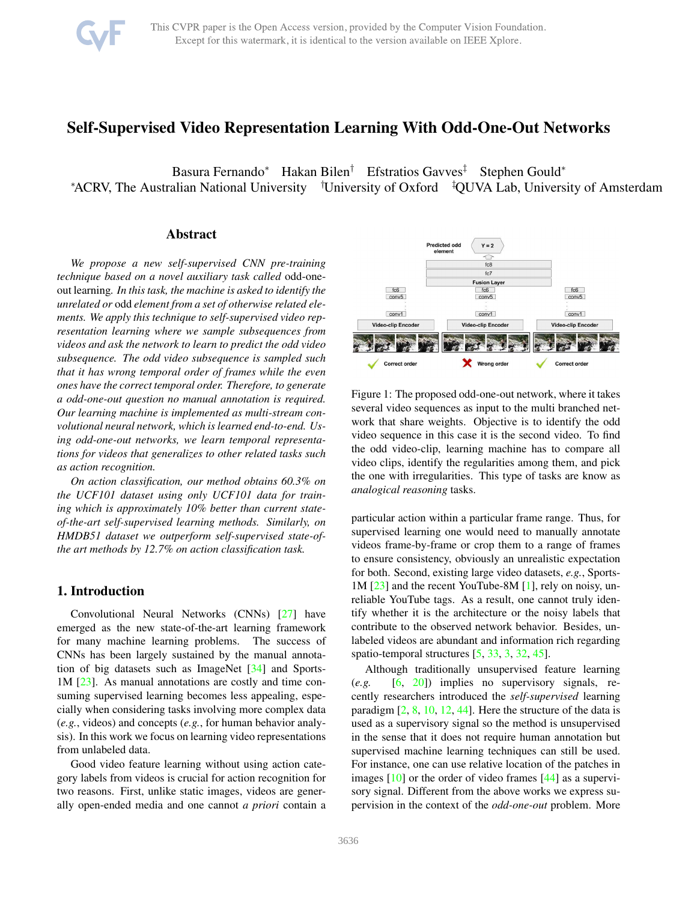# <span id="page-0-1"></span>Self-Supervised Video Representation Learning With Odd-One-Out Networks

Basura Fernando<sup>∗</sup> Hakan Bilen<sup>†</sup> Efstratios Gavves<sup>‡</sup> Stephen Gould<sup>∗</sup> <sup>∗</sup>ACRV, The Australian National University †University of Oxford ‡QUVA Lab, University of Amsterdam

## Abstract

*We propose a new self-supervised CNN pre-training technique based on a novel auxiliary task called* odd-oneout learning*. In this task, the machine is asked to identify the unrelated or* odd *element from a set of otherwise related elements. We apply this technique to self-supervised video representation learning where we sample subsequences from videos and ask the network to learn to predict the odd video subsequence. The odd video subsequence is sampled such that it has wrong temporal order of frames while the even ones have the correct temporal order. Therefore, to generate a odd-one-out question no manual annotation is required. Our learning machine is implemented as multi-stream convolutional neural network, which is learned end-to-end. Using odd-one-out networks, we learn temporal representations for videos that generalizes to other related tasks such as action recognition.*

*On action classification, our method obtains 60.3% on the UCF101 dataset using only UCF101 data for training which is approximately 10% better than current stateof-the-art self-supervised learning methods. Similarly, on HMDB51 dataset we outperform self-supervised state-ofthe art methods by 12.7% on action classification task.*

# 1. Introduction

Convolutional Neural Networks (CNNs) [\[27\]](#page-8-0) have emerged as the new state-of-the-art learning framework for many machine learning problems. The success of CNNs has been largely sustained by the manual annotation of big datasets such as ImageNet [\[34\]](#page-8-1) and Sports-1M [\[23\]](#page-8-2). As manual annotations are costly and time consuming supervised learning becomes less appealing, especially when considering tasks involving more complex data (*e.g.*, videos) and concepts (*e.g.*, for human behavior analysis). In this work we focus on learning video representations from unlabeled data.

Good video feature learning without using action category labels from videos is crucial for action recognition for two reasons. First, unlike static images, videos are generally open-ended media and one cannot *a priori* contain a

<span id="page-0-0"></span>

Figure 1: The proposed odd-one-out network, where it takes several video sequences as input to the multi branched network that share weights. Objective is to identify the odd video sequence in this case it is the second video. To find the odd video-clip, learning machine has to compare all video clips, identify the regularities among them, and pick the one with irregularities. This type of tasks are know as *analogical reasoning* tasks.

particular action within a particular frame range. Thus, for supervised learning one would need to manually annotate videos frame-by-frame or crop them to a range of frames to ensure consistency, obviously an unrealistic expectation for both. Second, existing large video datasets, *e.g.*, Sports-1M [\[23\]](#page-8-2) and the recent YouTube-8M [\[1\]](#page-8-3), rely on noisy, unreliable YouTube tags. As a result, one cannot truly identify whether it is the architecture or the noisy labels that contribute to the observed network behavior. Besides, unlabeled videos are abundant and information rich regarding spatio-temporal structures [\[5,](#page-8-4) [33,](#page-8-5) [3,](#page-8-6) [32,](#page-8-7) [45\]](#page-9-0).

Although traditionally unsupervised feature learning (*e.g.* [\[6,](#page-8-8) [20\]](#page-8-9)) implies no supervisory signals, recently researchers introduced the *self-supervised* learning paradigm  $[2, 8, 10, 12, 44]$  $[2, 8, 10, 12, 44]$  $[2, 8, 10, 12, 44]$  $[2, 8, 10, 12, 44]$  $[2, 8, 10, 12, 44]$  $[2, 8, 10, 12, 44]$  $[2, 8, 10, 12, 44]$  $[2, 8, 10, 12, 44]$ . Here the structure of the data is used as a supervisory signal so the method is unsupervised in the sense that it does not require human annotation but supervised machine learning techniques can still be used. For instance, one can use relative location of the patches in images [\[10\]](#page-8-12) or the order of video frames [\[44\]](#page-9-1) as a supervisory signal. Different from the above works we express supervision in the context of the *odd-one-out* problem. More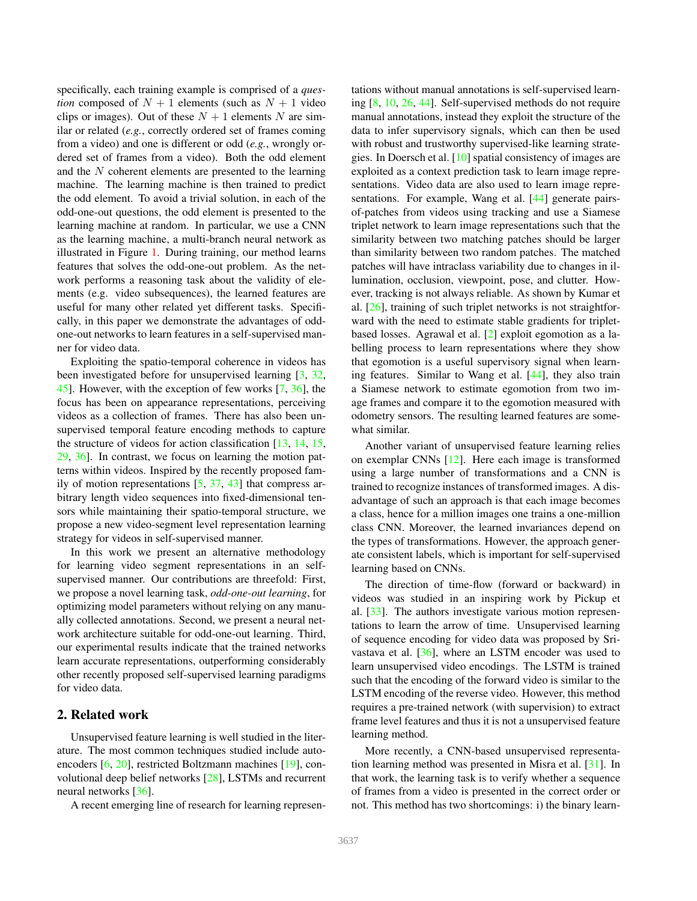<span id="page-1-0"></span>specifically, each training example is comprised of a *question* composed of  $N + 1$  elements (such as  $N + 1$  video clips or images). Out of these  $N + 1$  elements N are similar or related (*e.g.*, correctly ordered set of frames coming from a video) and one is different or odd (*e.g.*, wrongly ordered set of frames from a video). Both the odd element and the N coherent elements are presented to the learning machine. The learning machine is then trained to predict the odd element. To avoid a trivial solution, in each of the odd-one-out questions, the odd element is presented to the learning machine at random. In particular, we use a CNN as the learning machine, a multi-branch neural network as illustrated in Figure [1.](#page-0-0) During training, our method learns features that solves the odd-one-out problem. As the network performs a reasoning task about the validity of elements (e.g. video subsequences), the learned features are useful for many other related yet different tasks. Specifically, in this paper we demonstrate the advantages of oddone-out networks to learn features in a self-supervised manner for video data.

Exploiting the spatio-temporal coherence in videos has been investigated before for unsupervised learning [\[3,](#page-8-6) [32,](#page-8-7) [45\]](#page-9-0). However, with the exception of few works [\[7,](#page-8-14) [36\]](#page-8-15), the focus has been on appearance representations, perceiving videos as a collection of frames. There has also been unsupervised temporal feature encoding methods to capture the structure of videos for action classification [\[13,](#page-8-16) [14,](#page-8-17) [15,](#page-8-18) [29,](#page-8-19) [36\]](#page-8-15). In contrast, we focus on learning the motion patterns within videos. Inspired by the recently proposed family of motion representations  $[5, 37, 43]$  $[5, 37, 43]$  $[5, 37, 43]$  $[5, 37, 43]$  $[5, 37, 43]$  that compress arbitrary length video sequences into fixed-dimensional tensors while maintaining their spatio-temporal structure, we propose a new video-segment level representation learning strategy for videos in self-supervised manner.

In this work we present an alternative methodology for learning video segment representations in an selfsupervised manner. Our contributions are threefold: First, we propose a novel learning task, *odd-one-out learning*, for optimizing model parameters without relying on any manually collected annotations. Second, we present a neural network architecture suitable for odd-one-out learning. Third, our experimental results indicate that the trained networks learn accurate representations, outperforming considerably other recently proposed self-supervised learning paradigms for video data.

# 2. Related work

Unsupervised feature learning is well studied in the literature. The most common techniques studied include autoencoders [\[6,](#page-8-8) [20\]](#page-8-9), restricted Boltzmann machines [\[19\]](#page-8-21), convolutional deep belief networks [\[28\]](#page-8-22), LSTMs and recurrent neural networks [\[36\]](#page-8-15).

A recent emerging line of research for learning represen-

tations without manual annotations is self-supervised learning [\[8,](#page-8-11) [10,](#page-8-12) [26,](#page-8-23) [44\]](#page-9-1). Self-supervised methods do not require manual annotations, instead they exploit the structure of the data to infer supervisory signals, which can then be used with robust and trustworthy supervised-like learning strategies. In Doersch et al. [\[10\]](#page-8-12) spatial consistency of images are exploited as a context prediction task to learn image representations. Video data are also used to learn image repre-sentations. For example, Wang et al. [\[44\]](#page-9-1) generate pairsof-patches from videos using tracking and use a Siamese triplet network to learn image representations such that the similarity between two matching patches should be larger than similarity between two random patches. The matched patches will have intraclass variability due to changes in illumination, occlusion, viewpoint, pose, and clutter. However, tracking is not always reliable. As shown by Kumar et al. [\[26\]](#page-8-23), training of such triplet networks is not straightforward with the need to estimate stable gradients for tripletbased losses. Agrawal et al. [\[2\]](#page-8-10) exploit egomotion as a labelling process to learn representations where they show that egomotion is a useful supervisory signal when learning features. Similar to Wang et al. [\[44\]](#page-9-1), they also train a Siamese network to estimate egomotion from two image frames and compare it to the egomotion measured with odometry sensors. The resulting learned features are somewhat similar.

Another variant of unsupervised feature learning relies on exemplar CNNs [\[12\]](#page-8-13). Here each image is transformed using a large number of transformations and a CNN is trained to recognize instances of transformed images. A disadvantage of such an approach is that each image becomes a class, hence for a million images one trains a one-million class CNN. Moreover, the learned invariances depend on the types of transformations. However, the approach generate consistent labels, which is important for self-supervised learning based on CNNs.

The direction of time-flow (forward or backward) in videos was studied in an inspiring work by Pickup et al. [\[33\]](#page-8-5). The authors investigate various motion representations to learn the arrow of time. Unsupervised learning of sequence encoding for video data was proposed by Srivastava et al. [\[36\]](#page-8-15), where an LSTM encoder was used to learn unsupervised video encodings. The LSTM is trained such that the encoding of the forward video is similar to the LSTM encoding of the reverse video. However, this method requires a pre-trained network (with supervision) to extract frame level features and thus it is not a unsupervised feature learning method.

More recently, a CNN-based unsupervised representation learning method was presented in Misra et al. [\[31\]](#page-8-24). In that work, the learning task is to verify whether a sequence of frames from a video is presented in the correct order or not. This method has two shortcomings: i) the binary learn-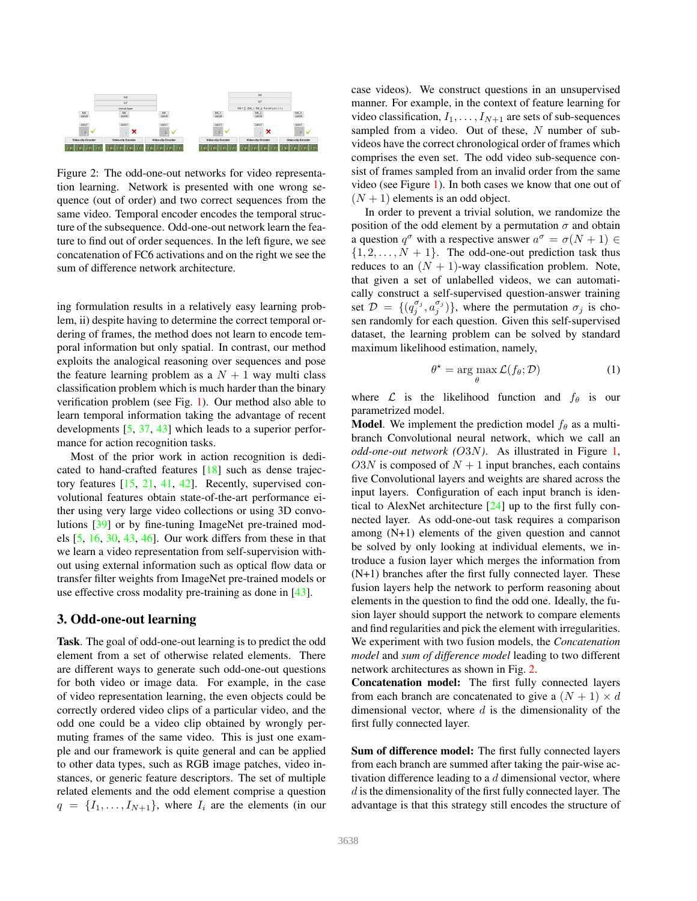<span id="page-2-2"></span><span id="page-2-0"></span>

Figure 2: The odd-one-out networks for video representation learning. Network is presented with one wrong sequence (out of order) and two correct sequences from the same video. Temporal encoder encodes the temporal structure of the subsequence. Odd-one-out network learn the feature to find out of order sequences. In the left figure, we see concatenation of FC6 activations and on the right we see the sum of difference network architecture.

ing formulation results in a relatively easy learning problem, ii) despite having to determine the correct temporal ordering of frames, the method does not learn to encode temporal information but only spatial. In contrast, our method exploits the analogical reasoning over sequences and pose the feature learning problem as a  $N + 1$  way multi class classification problem which is much harder than the binary verification problem (see Fig. [1\)](#page-0-0). Our method also able to learn temporal information taking the advantage of recent developments [\[5,](#page-8-4) [37,](#page-8-20) [43\]](#page-9-2) which leads to a superior performance for action recognition tasks.

Most of the prior work in action recognition is dedicated to hand-crafted features [\[18\]](#page-8-25) such as dense trajectory features [\[15,](#page-8-18) [21,](#page-8-26) [41,](#page-9-3) [42\]](#page-9-4). Recently, supervised convolutional features obtain state-of-the-art performance either using very large video collections or using 3D convolutions [\[39\]](#page-9-5) or by fine-tuning ImageNet pre-trained models [\[5,](#page-8-4) [16,](#page-8-27) [30,](#page-8-28) [43,](#page-9-2) [46\]](#page-9-6). Our work differs from these in that we learn a video representation from self-supervision without using external information such as optical flow data or transfer filter weights from ImageNet pre-trained models or use effective cross modality pre-training as done in [\[43\]](#page-9-2).

# <span id="page-2-1"></span>3. Odd-one-out learning

Task. The goal of odd-one-out learning is to predict the odd element from a set of otherwise related elements. There are different ways to generate such odd-one-out questions for both video or image data. For example, in the case of video representation learning, the even objects could be correctly ordered video clips of a particular video, and the odd one could be a video clip obtained by wrongly permuting frames of the same video. This is just one example and our framework is quite general and can be applied to other data types, such as RGB image patches, video instances, or generic feature descriptors. The set of multiple related elements and the odd element comprise a question  $q = \{I_1, \ldots, I_{N+1}\}\$ , where  $I_i$  are the elements (in our case videos). We construct questions in an unsupervised manner. For example, in the context of feature learning for video classification,  $I_1, \ldots, I_{N+1}$  are sets of sub-sequences sampled from a video. Out of these,  $N$  number of subvideos have the correct chronological order of frames which comprises the even set. The odd video sub-sequence consist of frames sampled from an invalid order from the same video (see Figure [1\)](#page-0-0). In both cases we know that one out of  $(N + 1)$  elements is an odd object.

In order to prevent a trivial solution, we randomize the position of the odd element by a permutation  $\sigma$  and obtain a question  $q^{\sigma}$  with a respective answer  $a^{\sigma} = \sigma(N + 1) \in$  $\{1, 2, \ldots, N + 1\}$ . The odd-one-out prediction task thus reduces to an  $(N + 1)$ -way classification problem. Note, that given a set of unlabelled videos, we can automatically construct a self-supervised question-answer training set  $\mathcal{D} = \{ (q_j^{\sigma_j}, a_j^{\sigma_j}) \}$ , where the permutation  $\sigma_j$  is chosen randomly for each question. Given this self-supervised dataset, the learning problem can be solved by standard maximum likelihood estimation, namely,

$$
\theta^* = \arg\max_{\theta} \mathcal{L}(f_{\theta}; \mathcal{D})
$$
 (1)

where  $\mathcal L$  is the likelihood function and  $f_\theta$  is our parametrized model.

**Model.** We implement the prediction model  $f_\theta$  as a multibranch Convolutional neural network, which we call an *odd-one-out network (*O3N*)*. As illustrated in Figure [1,](#page-0-0) O3N is composed of  $N + 1$  input branches, each contains five Convolutional layers and weights are shared across the input layers. Configuration of each input branch is identical to AlexNet architecture [\[24\]](#page-8-29) up to the first fully connected layer. As odd-one-out task requires a comparison among (N+1) elements of the given question and cannot be solved by only looking at individual elements, we introduce a fusion layer which merges the information from (N+1) branches after the first fully connected layer. These fusion layers help the network to perform reasoning about elements in the question to find the odd one. Ideally, the fusion layer should support the network to compare elements and find regularities and pick the element with irregularities. We experiment with two fusion models, the *Concatenation model* and *sum of difference model* leading to two different network architectures as shown in Fig. [2.](#page-2-0)

Concatenation model: The first fully connected layers from each branch are concatenated to give a  $(N + 1) \times d$ dimensional vector, where  $d$  is the dimensionality of the first fully connected layer.

Sum of difference model: The first fully connected layers from each branch are summed after taking the pair-wise activation difference leading to a  $d$  dimensional vector, where d is the dimensionality of the first fully connected layer. The advantage is that this strategy still encodes the structure of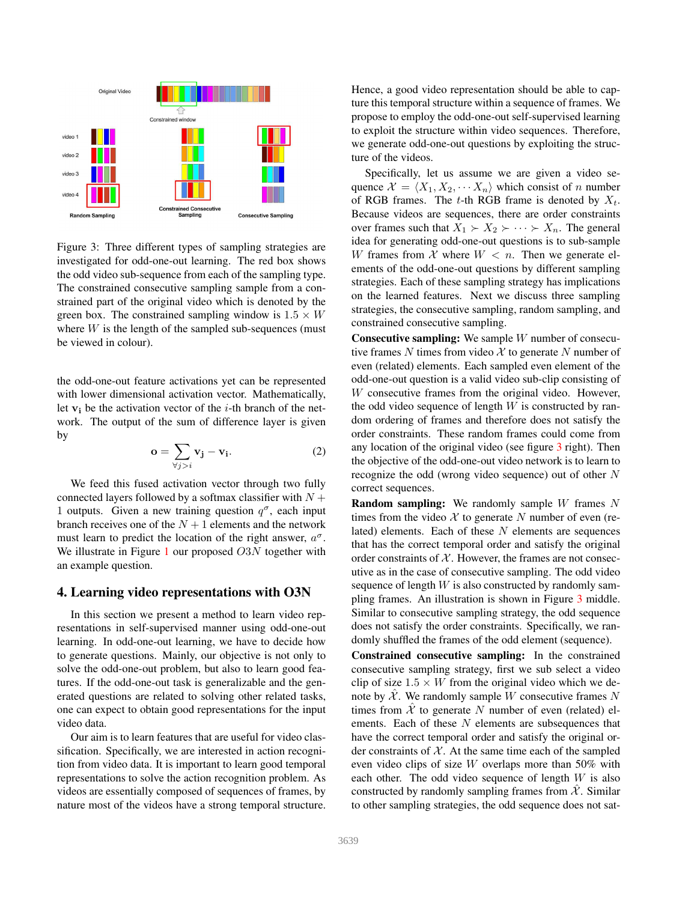<span id="page-3-0"></span>

Figure 3: Three different types of sampling strategies are investigated for odd-one-out learning. The red box shows the odd video sub-sequence from each of the sampling type. The constrained consecutive sampling sample from a constrained part of the original video which is denoted by the green box. The constrained sampling window is  $1.5 \times W$ where  $W$  is the length of the sampled sub-sequences (must be viewed in colour).

the odd-one-out feature activations yet can be represented with lower dimensional activation vector. Mathematically, let  $v_i$  be the activation vector of the *i*-th branch of the network. The output of the sum of difference layer is given by

<span id="page-3-2"></span>
$$
\mathbf{o} = \sum_{\forall j > i} \mathbf{v}_j - \mathbf{v}_i. \tag{2}
$$

We feed this fused activation vector through two fully connected layers followed by a softmax classifier with  $N +$ 1 outputs. Given a new training question  $q^{\sigma}$ , each input branch receives one of the  $N + 1$  elements and the network must learn to predict the location of the right answer,  $a^{\sigma}$ . We illustrate in Figure [1](#page-0-0) our proposed  $O3N$  together with an example question.

### <span id="page-3-1"></span>4. Learning video representations with O3N

In this section we present a method to learn video representations in self-supervised manner using odd-one-out learning. In odd-one-out learning, we have to decide how to generate questions. Mainly, our objective is not only to solve the odd-one-out problem, but also to learn good features. If the odd-one-out task is generalizable and the generated questions are related to solving other related tasks, one can expect to obtain good representations for the input video data.

Our aim is to learn features that are useful for video classification. Specifically, we are interested in action recognition from video data. It is important to learn good temporal representations to solve the action recognition problem. As videos are essentially composed of sequences of frames, by nature most of the videos have a strong temporal structure.

Hence, a good video representation should be able to capture this temporal structure within a sequence of frames. We propose to employ the odd-one-out self-supervised learning to exploit the structure within video sequences. Therefore, we generate odd-one-out questions by exploiting the structure of the videos.

Specifically, let us assume we are given a video sequence  $\mathcal{X} = \langle X_1, X_2, \cdots, X_n \rangle$  which consist of n number of RGB frames. The t-th RGB frame is denoted by  $X_t$ . Because videos are sequences, there are order constraints over frames such that  $X_1 \succ X_2 \succ \cdots \succ X_n$ . The general idea for generating odd-one-out questions is to sub-sample W frames from X where  $W < n$ . Then we generate elements of the odd-one-out questions by different sampling strategies. Each of these sampling strategy has implications on the learned features. Next we discuss three sampling strategies, the consecutive sampling, random sampling, and constrained consecutive sampling.

Consecutive sampling: We sample W number of consecutive frames  $N$  times from video  $\mathcal X$  to generate  $N$  number of even (related) elements. Each sampled even element of the odd-one-out question is a valid video sub-clip consisting of W consecutive frames from the original video. However, the odd video sequence of length  $W$  is constructed by random ordering of frames and therefore does not satisfy the order constraints. These random frames could come from any location of the original video (see figure [3](#page-3-0) right). Then the objective of the odd-one-out video network is to learn to recognize the odd (wrong video sequence) out of other N correct sequences.

**Random sampling:** We randomly sample W frames N times from the video  $X$  to generate N number of even (related) elements. Each of these  $N$  elements are sequences that has the correct temporal order and satisfy the original order constraints of  $X$ . However, the frames are not consecutive as in the case of consecutive sampling. The odd video sequence of length  $W$  is also constructed by randomly sampling frames. An illustration is shown in Figure [3](#page-3-0) middle. Similar to consecutive sampling strategy, the odd sequence does not satisfy the order constraints. Specifically, we randomly shuffled the frames of the odd element (sequence).

Constrained consecutive sampling: In the constrained consecutive sampling strategy, first we sub select a video clip of size  $1.5 \times W$  from the original video which we denote by  $X$ . We randomly sample W consecutive frames N times from  $\hat{\mathcal{X}}$  to generate N number of even (related) elements. Each of these  $N$  elements are subsequences that have the correct temporal order and satisfy the original order constraints of  $X$ . At the same time each of the sampled even video clips of size W overlaps more than 50% with each other. The odd video sequence of length  $W$  is also constructed by randomly sampling frames from  $\mathcal{X}$ . Similar to other sampling strategies, the odd sequence does not sat-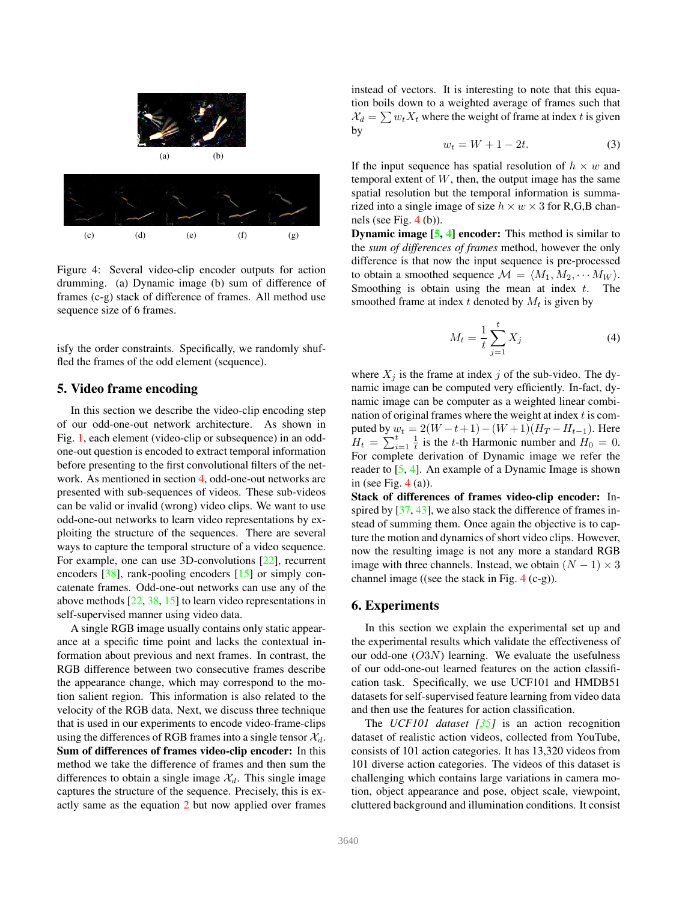<span id="page-4-2"></span><span id="page-4-0"></span>

Figure 4: Several video-clip encoder outputs for action drumming. (a) Dynamic image (b) sum of difference of frames (c-g) stack of difference of frames. All method use sequence size of 6 frames.

isfy the order constraints. Specifically, we randomly shuffled the frames of the odd element (sequence).

### <span id="page-4-1"></span>5. Video frame encoding

In this section we describe the video-clip encoding step of our odd-one-out network architecture. As shown in Fig. [1,](#page-0-0) each element (video-clip or subsequence) in an oddone-out question is encoded to extract temporal information before presenting to the first convolutional filters of the network. As mentioned in section [4,](#page-3-1) odd-one-out networks are presented with sub-sequences of videos. These sub-videos can be valid or invalid (wrong) video clips. We want to use odd-one-out networks to learn video representations by exploiting the structure of the sequences. There are several ways to capture the temporal structure of a video sequence. For example, one can use 3D-convolutions [\[22\]](#page-8-30), recurrent encoders [\[38\]](#page-8-31), rank-pooling encoders [\[15\]](#page-8-18) or simply concatenate frames. Odd-one-out networks can use any of the above methods [\[22,](#page-8-30) [38,](#page-8-31) [15\]](#page-8-18) to learn video representations in self-supervised manner using video data.

A single RGB image usually contains only static appearance at a specific time point and lacks the contextual information about previous and next frames. In contrast, the RGB difference between two consecutive frames describe the appearance change, which may correspond to the motion salient region. This information is also related to the velocity of the RGB data. Next, we discuss three technique that is used in our experiments to encode video-frame-clips using the differences of RGB frames into a single tensor  $\mathcal{X}_d$ . Sum of differences of frames video-clip encoder: In this method we take the difference of frames and then sum the differences to obtain a single image  $\mathcal{X}_d$ . This single image captures the structure of the sequence. Precisely, this is exactly same as the equation [2](#page-3-2) but now applied over frames

instead of vectors. It is interesting to note that this equation boils down to a weighted average of frames such that  $\mathcal{X}_d = \sum w_t X_t$  where the weight of frame at index t is given by

$$
w_t = W + 1 - 2t.\t\t(3)
$$

If the input sequence has spatial resolution of  $h \times w$  and temporal extent of  $W$ , then, the output image has the same spatial resolution but the temporal information is summarized into a single image of size  $h \times w \times 3$  for R,G,B channels (see Fig. [4](#page-4-0) (b)).

**Dynamic image [\[5,](#page-8-4) [4\]](#page-8-32) encoder:** This method is similar to the *sum of differences of frames* method, however the only difference is that now the input sequence is pre-processed to obtain a smoothed sequence  $\mathcal{M} = \langle M_1, M_2, \cdots M_W \rangle$ . Smoothing is obtain using the mean at index  $t$ . smoothed frame at index t denoted by  $M_t$  is given by

$$
M_t = \frac{1}{t} \sum_{j=1}^t X_j \tag{4}
$$

where  $X_j$  is the frame at index j of the sub-video. The dynamic image can be computed very efficiently. In-fact, dynamic image can be computer as a weighted linear combination of original frames where the weight at index  $t$  is computed by  $w_t = 2(W - t + 1) - (W + 1)(H_T - H_{t-1})$ . Here  $H_t = \sum_{i=1}^t \frac{1}{t}$  is the t-th Harmonic number and  $H_0 = 0$ . For complete derivation of Dynamic image we refer the reader to [\[5,](#page-8-4) [4\]](#page-8-32). An example of a Dynamic Image is shown in (see Fig.  $4(a)$  $4(a)$ ).

Stack of differences of frames video-clip encoder: Inspired by  $[37, 43]$  $[37, 43]$  $[37, 43]$ , we also stack the difference of frames instead of summing them. Once again the objective is to capture the motion and dynamics of short video clips. However, now the resulting image is not any more a standard RGB image with three channels. Instead, we obtain  $(N - 1) \times 3$ channel image ((see the stack in Fig. [4](#page-4-0) (c-g)).

### 6. Experiments

In this section we explain the experimental set up and the experimental results which validate the effectiveness of our odd-one (O3N) learning. We evaluate the usefulness of our odd-one-out learned features on the action classification task. Specifically, we use UCF101 and HMDB51 datasets for self-supervised feature learning from video data and then use the features for action classification.

The *UCF101 dataset [\[35\]](#page-8-33)* is an action recognition dataset of realistic action videos, collected from YouTube, consists of 101 action categories. It has 13,320 videos from 101 diverse action categories. The videos of this dataset is challenging which contains large variations in camera motion, object appearance and pose, object scale, viewpoint, cluttered background and illumination conditions. It consist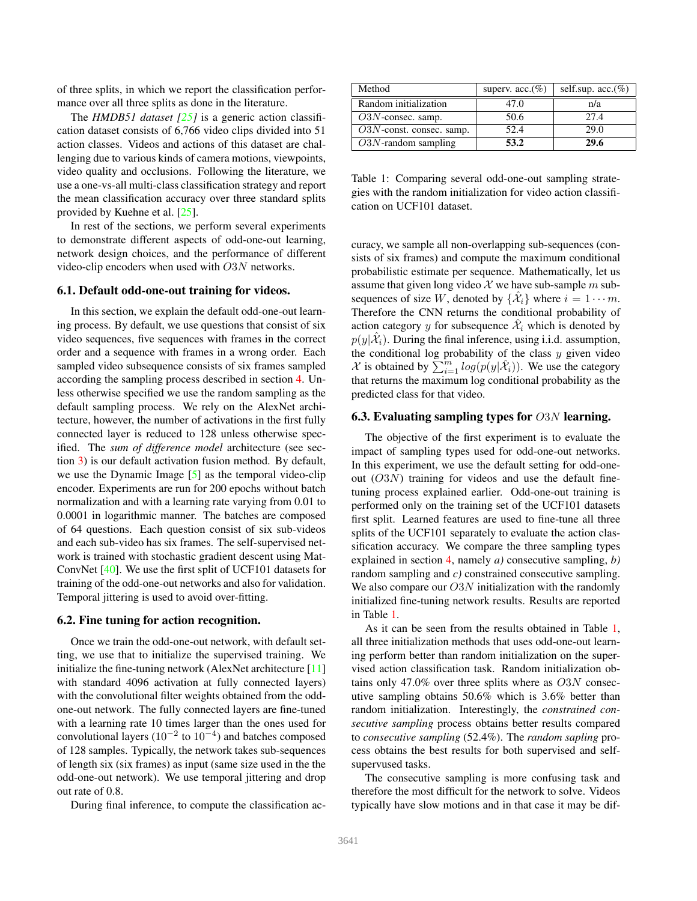<span id="page-5-1"></span>of three splits, in which we report the classification performance over all three splits as done in the literature.

The *HMDB51 dataset [\[25\]](#page-8-34)* is a generic action classification dataset consists of 6,766 video clips divided into 51 action classes. Videos and actions of this dataset are challenging due to various kinds of camera motions, viewpoints, video quality and occlusions. Following the literature, we use a one-vs-all multi-class classification strategy and report the mean classification accuracy over three standard splits provided by Kuehne et al. [\[25\]](#page-8-34).

In rest of the sections, we perform several experiments to demonstrate different aspects of odd-one-out learning, network design choices, and the performance of different video-clip encoders when used with O3N networks.

#### 6.1. Default odd-one-out training for videos.

In this section, we explain the default odd-one-out learning process. By default, we use questions that consist of six video sequences, five sequences with frames in the correct order and a sequence with frames in a wrong order. Each sampled video subsequence consists of six frames sampled according the sampling process described in section [4.](#page-3-1) Unless otherwise specified we use the random sampling as the default sampling process. We rely on the AlexNet architecture, however, the number of activations in the first fully connected layer is reduced to 128 unless otherwise specified. The *sum of difference model* architecture (see section [3\)](#page-2-1) is our default activation fusion method. By default, we use the Dynamic Image [\[5\]](#page-8-4) as the temporal video-clip encoder. Experiments are run for 200 epochs without batch normalization and with a learning rate varying from 0.01 to 0.0001 in logarithmic manner. The batches are composed of 64 questions. Each question consist of six sub-videos and each sub-video has six frames. The self-supervised network is trained with stochastic gradient descent using Mat-ConvNet [\[40\]](#page-9-7). We use the first split of UCF101 datasets for training of the odd-one-out networks and also for validation. Temporal jittering is used to avoid over-fitting.

#### 6.2. Fine tuning for action recognition.

Once we train the odd-one-out network, with default setting, we use that to initialize the supervised training. We initialize the fine-tuning network (AlexNet architecture [\[11\]](#page-8-35) with standard 4096 activation at fully connected layers) with the convolutional filter weights obtained from the oddone-out network. The fully connected layers are fine-tuned with a learning rate 10 times larger than the ones used for convolutional layers  $(10^{-2}$  to  $10^{-4}$ ) and batches composed of 128 samples. Typically, the network takes sub-sequences of length six (six frames) as input (same size used in the the odd-one-out network). We use temporal jittering and drop out rate of 0.8.

During final inference, to compute the classification ac-

<span id="page-5-0"></span>

| Method                      | superv. acc. $(\%)$ | self.sup. $acc. (\%)$ |
|-----------------------------|---------------------|-----------------------|
| Random initialization       | 47.0                | n/a                   |
| $O3N$ -consec. samp.        | 50.6                | 27.4                  |
| $O3N$ -const. consec. samp. | 52.4                | 29.0                  |
| $O3N$ -random sampling      | 53.2                | 29.6                  |

Table 1: Comparing several odd-one-out sampling strategies with the random initialization for video action classification on UCF101 dataset.

curacy, we sample all non-overlapping sub-sequences (consists of six frames) and compute the maximum conditional probabilistic estimate per sequence. Mathematically, let us assume that given long video X we have sub-sample m subsequences of size W, denoted by  $\{\hat{\mathcal{X}}_i\}$  where  $i = 1 \cdots m$ . Therefore the CNN returns the conditional probability of action category y for subsequence  $\hat{\mathcal{X}}_i$  which is denoted by  $p(y|\hat{\mathcal{X}}_i)$ . During the final inference, using i.i.d. assumption, the conditional log probability of the class  $y$  given video  $\mathcal X$  is obtained by  $\sum_{i=1}^m log(p(y|\hat{\mathcal X}_i))$ . We use the category that returns the maximum log conditional probability as the predicted class for that video.

### 6.3. Evaluating sampling types for  $O3N$  learning.

The objective of the first experiment is to evaluate the impact of sampling types used for odd-one-out networks. In this experiment, we use the default setting for odd-oneout  $(O3N)$  training for videos and use the default finetuning process explained earlier. Odd-one-out training is performed only on the training set of the UCF101 datasets first split. Learned features are used to fine-tune all three splits of the UCF101 separately to evaluate the action classification accuracy. We compare the three sampling types explained in section [4,](#page-3-1) namely *a)* consecutive sampling, *b)* random sampling and *c)* constrained consecutive sampling. We also compare our  $O3N$  initialization with the randomly initialized fine-tuning network results. Results are reported in Table [1.](#page-5-0)

As it can be seen from the results obtained in Table [1,](#page-5-0) all three initialization methods that uses odd-one-out learning perform better than random initialization on the supervised action classification task. Random initialization obtains only 47.0% over three splits where as O3N consecutive sampling obtains 50.6% which is 3.6% better than random initialization. Interestingly, the *constrained consecutive sampling* process obtains better results compared to *consecutive sampling* (52.4%). The *random sapling* process obtains the best results for both supervised and selfsupervused tasks.

The consecutive sampling is more confusing task and therefore the most difficult for the network to solve. Videos typically have slow motions and in that case it may be dif-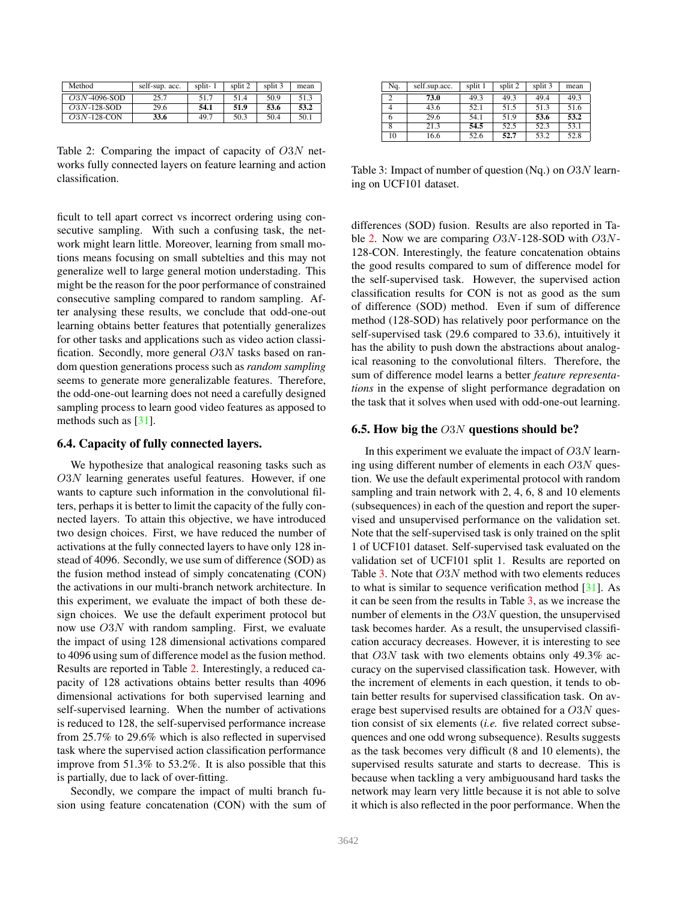<span id="page-6-2"></span><span id="page-6-0"></span>

| Method         | self-sup. acc. | split-1 | split 2 | split 3 | mean |
|----------------|----------------|---------|---------|---------|------|
| $O3N-4096-SOD$ | 25.7           | 51.7    | 51.4    | 50.9    | 51.3 |
| $O3N-128-SOD$  | 29.6           | 54.1    | 51.9    | 53.6    | 53.2 |
| $O3N-128$ -CON | 33.6           | 49.7    | 50.3    | 50.4    | 50.1 |

Table 2: Comparing the impact of capacity of O3N networks fully connected layers on feature learning and action classification.

ficult to tell apart correct vs incorrect ordering using consecutive sampling. With such a confusing task, the network might learn little. Moreover, learning from small motions means focusing on small subtelties and this may not generalize well to large general motion understading. This might be the reason for the poor performance of constrained consecutive sampling compared to random sampling. After analysing these results, we conclude that odd-one-out learning obtains better features that potentially generalizes for other tasks and applications such as video action classification. Secondly, more general  $O3N$  tasks based on random question generations process such as *random sampling* seems to generate more generalizable features. Therefore, the odd-one-out learning does not need a carefully designed sampling process to learn good video features as apposed to methods such as [\[31\]](#page-8-24).

### 6.4. Capacity of fully connected layers.

We hypothesize that analogical reasoning tasks such as O3N learning generates useful features. However, if one wants to capture such information in the convolutional filters, perhaps it is better to limit the capacity of the fully connected layers. To attain this objective, we have introduced two design choices. First, we have reduced the number of activations at the fully connected layers to have only 128 instead of 4096. Secondly, we use sum of difference (SOD) as the fusion method instead of simply concatenating (CON) the activations in our multi-branch network architecture. In this experiment, we evaluate the impact of both these design choices. We use the default experiment protocol but now use O3N with random sampling. First, we evaluate the impact of using 128 dimensional activations compared to 4096 using sum of difference model as the fusion method. Results are reported in Table [2.](#page-6-0) Interestingly, a reduced capacity of 128 activations obtains better results than 4096 dimensional activations for both supervised learning and self-supervised learning. When the number of activations is reduced to 128, the self-supervised performance increase from 25.7% to 29.6% which is also reflected in supervised task where the supervised action classification performance improve from 51.3% to 53.2%. It is also possible that this is partially, due to lack of over-fitting.

Secondly, we compare the impact of multi branch fusion using feature concatenation (CON) with the sum of

<span id="page-6-1"></span>

| Nq. | self.sup.acc. | split 1 | split 2 | split 3 | mean |
|-----|---------------|---------|---------|---------|------|
|     | 73.0          | 49.3    | 49.3    | 49.4    | 49.3 |
|     | 43.6          | 52.1    | 51.5    | 51.3    | 51.6 |
| 6   | 29.6          | 54.1    | 51.9    | 53.6    | 53.2 |
|     | 21.3          | 54.5    | 52.5    | 52.3    | 53.1 |
| 10  | 16.6          | 52.6    | 52.7    | 53.2    | 52.8 |

Table 3: Impact of number of question (Nq.) on  $O3N$  learning on UCF101 dataset.

differences (SOD) fusion. Results are also reported in Ta-ble [2.](#page-6-0) Now we are comparing  $O3N-128$ -SOD with  $O3N-$ 128-CON. Interestingly, the feature concatenation obtains the good results compared to sum of difference model for the self-supervised task. However, the supervised action classification results for CON is not as good as the sum of difference (SOD) method. Even if sum of difference method (128-SOD) has relatively poor performance on the self-supervised task (29.6 compared to 33.6), intuitively it has the ability to push down the abstractions about analogical reasoning to the convolutional filters. Therefore, the sum of difference model learns a better *feature representations* in the expense of slight performance degradation on the task that it solves when used with odd-one-out learning.

#### 6.5. How big the  $O3N$  questions should be?

In this experiment we evaluate the impact of  $O3N$  learning using different number of elements in each O3N question. We use the default experimental protocol with random sampling and train network with 2, 4, 6, 8 and 10 elements (subsequences) in each of the question and report the supervised and unsupervised performance on the validation set. Note that the self-supervised task is only trained on the split 1 of UCF101 dataset. Self-supervised task evaluated on the validation set of UCF101 split 1. Results are reported on Table [3.](#page-6-1) Note that O3N method with two elements reduces to what is similar to sequence verification method [\[31\]](#page-8-24). As it can be seen from the results in Table [3,](#page-6-1) as we increase the number of elements in the  $O3N$  question, the unsupervised task becomes harder. As a result, the unsupervised classification accuracy decreases. However, it is interesting to see that  $O3N$  task with two elements obtains only 49.3% accuracy on the supervised classification task. However, with the increment of elements in each question, it tends to obtain better results for supervised classification task. On average best supervised results are obtained for a O3N question consist of six elements (*i.e.* five related correct subsequences and one odd wrong subsequence). Results suggests as the task becomes very difficult (8 and 10 elements), the supervised results saturate and starts to decrease. This is because when tackling a very ambiguousand hard tasks the network may learn very little because it is not able to solve it which is also reflected in the poor performance. When the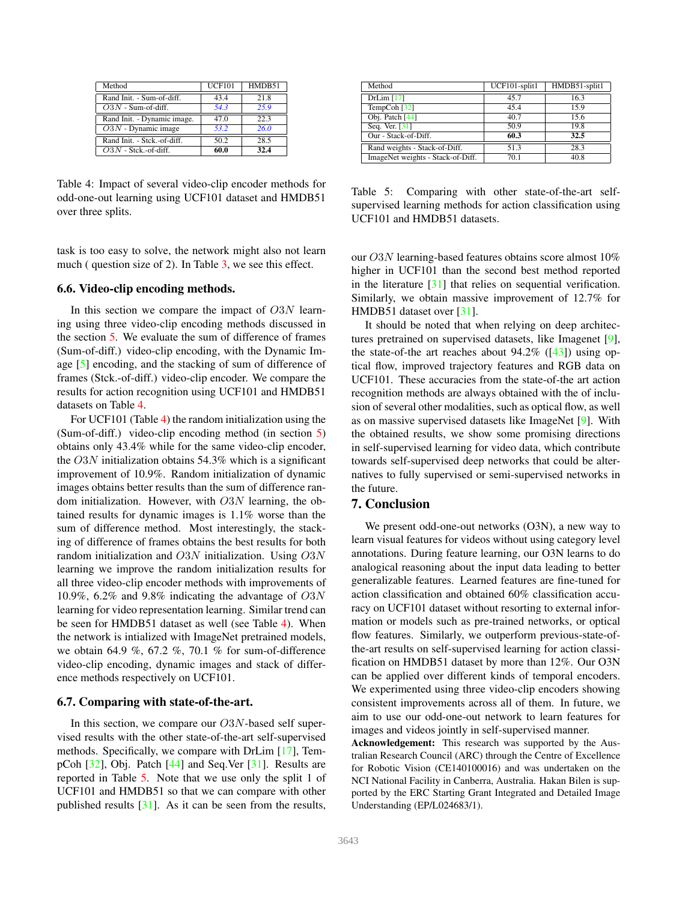<span id="page-7-2"></span><span id="page-7-0"></span>

| Method                      | <b>UCF101</b> | HMDB51 |
|-----------------------------|---------------|--------|
| Rand Init. - Sum-of-diff.   | 43.4          | 21.8   |
| $O3N$ - Sum-of-diff.        | 54.3          | 25.9   |
| Rand Init. - Dynamic image. | 47.0          | 22.3   |
| $O3N$ - Dynamic image       | 53.2          | 26.0   |
| Rand Init. - Stck.-of-diff. | 50.2          | 28.5   |
| $O3N$ - Stck.-of-diff.      | 60.0          | 32.4   |

Table 4: Impact of several video-clip encoder methods for odd-one-out learning using UCF101 dataset and HMDB51 over three splits.

task is too easy to solve, the network might also not learn much ( question size of 2). In Table [3,](#page-6-1) we see this effect.

### 6.6. Video-clip encoding methods.

In this section we compare the impact of  $O3N$  learning using three video-clip encoding methods discussed in the section [5.](#page-4-1) We evaluate the sum of difference of frames (Sum-of-diff.) video-clip encoding, with the Dynamic Image [\[5\]](#page-8-4) encoding, and the stacking of sum of difference of frames (Stck.-of-diff.) video-clip encoder. We compare the results for action recognition using UCF101 and HMDB51 datasets on Table [4.](#page-7-0)

For UCF101 (Table [4\)](#page-7-0) the random initialization using the (Sum-of-diff.) video-clip encoding method (in section [5\)](#page-4-1) obtains only 43.4% while for the same video-clip encoder, the O3N initialization obtains 54.3% which is a significant improvement of 10.9%. Random initialization of dynamic images obtains better results than the sum of difference random initialization. However, with  $O3N$  learning, the obtained results for dynamic images is 1.1% worse than the sum of difference method. Most interestingly, the stacking of difference of frames obtains the best results for both random initialization and O3N initialization. Using O3N learning we improve the random initialization results for all three video-clip encoder methods with improvements of 10.9%, 6.2% and 9.8% indicating the advantage of  $O3N$ learning for video representation learning. Similar trend can be seen for HMDB51 dataset as well (see Table [4\)](#page-7-0). When the network is intialized with ImageNet pretrained models, we obtain 64.9 %, 67.2 %, 70.1 % for sum-of-difference video-clip encoding, dynamic images and stack of difference methods respectively on UCF101.

#### 6.7. Comparing with state-of-the-art.

In this section, we compare our  $O3N$ -based self supervised results with the other state-of-the-art self-supervised methods. Specifically, we compare with DrLim [\[17\]](#page-8-36), TempCoh  $[32]$ , Obj. Patch  $[44]$  and Seq.Ver  $[31]$ . Results are reported in Table [5.](#page-7-1) Note that we use only the split 1 of UCF101 and HMDB51 so that we can compare with other published results [\[31\]](#page-8-24). As it can be seen from the results,

<span id="page-7-1"></span>

| Method                            | UCF101-split1 | HMDB51-split1 |
|-----------------------------------|---------------|---------------|
| DrLim [17]                        | 45.7          | 16.3          |
| TempCoh <sup>[32]</sup>           | 45.4          | 15.9          |
| Obj. Patch [44]                   | 40.7          | 15.6          |
| Seq. Ver. [31]                    | 50.9          | 19.8          |
| Our - Stack-of-Diff.              | 60.3          | 32.5          |
| Rand weights - Stack-of-Diff.     | 51.3          | 28.3          |
| ImageNet weights - Stack-of-Diff. | 70.1          | 40.8          |

Table 5: Comparing with other state-of-the-art selfsupervised learning methods for action classification using UCF101 and HMDB51 datasets.

our O3N learning-based features obtains score almost 10% higher in UCF101 than the second best method reported in the literature  $\lceil 31 \rceil$  that relies on sequential verification. Similarly, we obtain massive improvement of 12.7% for HMDB51 dataset over [\[31\]](#page-8-24).

It should be noted that when relying on deep architectures pretrained on supervised datasets, like Imagenet [\[9\]](#page-8-37), the state-of-the art reaches about  $94.2\%$  ([\[43\]](#page-9-2)) using optical flow, improved trajectory features and RGB data on UCF101. These accuracies from the state-of-the art action recognition methods are always obtained with the of inclusion of several other modalities, such as optical flow, as well as on massive supervised datasets like ImageNet [\[9\]](#page-8-37). With the obtained results, we show some promising directions in self-supervised learning for video data, which contribute towards self-supervised deep networks that could be alternatives to fully supervised or semi-supervised networks in the future.

### 7. Conclusion

We present odd-one-out networks (O3N), a new way to learn visual features for videos without using category level annotations. During feature learning, our O3N learns to do analogical reasoning about the input data leading to better generalizable features. Learned features are fine-tuned for action classification and obtained 60% classification accuracy on UCF101 dataset without resorting to external information or models such as pre-trained networks, or optical flow features. Similarly, we outperform previous-state-ofthe-art results on self-supervised learning for action classification on HMDB51 dataset by more than 12%. Our O3N can be applied over different kinds of temporal encoders. We experimented using three video-clip encoders showing consistent improvements across all of them. In future, we aim to use our odd-one-out network to learn features for images and videos jointly in self-supervised manner.

Acknowledgement: This research was supported by the Australian Research Council (ARC) through the Centre of Excellence for Robotic Vision (CE140100016) and was undertaken on the NCI National Facility in Canberra, Australia. Hakan Bilen is supported by the ERC Starting Grant Integrated and Detailed Image Understanding (EP/L024683/1).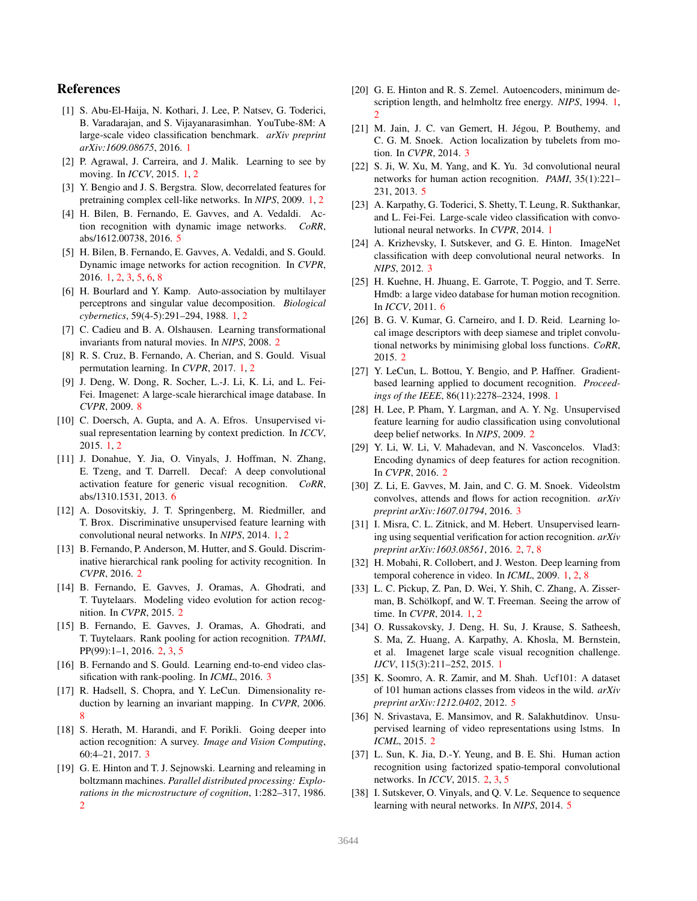## References

- <span id="page-8-3"></span>[1] S. Abu-El-Haija, N. Kothari, J. Lee, P. Natsev, G. Toderici, B. Varadarajan, and S. Vijayanarasimhan. YouTube-8M: A large-scale video classification benchmark. *arXiv preprint arXiv:1609.08675*, 2016. [1](#page-0-1)
- <span id="page-8-10"></span>[2] P. Agrawal, J. Carreira, and J. Malik. Learning to see by moving. In *ICCV*, 2015. [1,](#page-0-1) [2](#page-1-0)
- <span id="page-8-6"></span>[3] Y. Bengio and J. S. Bergstra. Slow, decorrelated features for pretraining complex cell-like networks. In *NIPS*, 2009. [1,](#page-0-1) [2](#page-1-0)
- <span id="page-8-32"></span>[4] H. Bilen, B. Fernando, E. Gavves, and A. Vedaldi. Action recognition with dynamic image networks. *CoRR*, abs/1612.00738, 2016. [5](#page-4-2)
- <span id="page-8-4"></span>[5] H. Bilen, B. Fernando, E. Gavves, A. Vedaldi, and S. Gould. Dynamic image networks for action recognition. In *CVPR*, 2016. [1,](#page-0-1) [2,](#page-1-0) [3,](#page-2-2) [5,](#page-4-2) [6,](#page-5-1) [8](#page-7-2)
- <span id="page-8-8"></span>[6] H. Bourlard and Y. Kamp. Auto-association by multilayer perceptrons and singular value decomposition. *Biological cybernetics*, 59(4-5):291–294, 1988. [1,](#page-0-1) [2](#page-1-0)
- <span id="page-8-14"></span>[7] C. Cadieu and B. A. Olshausen. Learning transformational invariants from natural movies. In *NIPS*, 2008. [2](#page-1-0)
- <span id="page-8-11"></span>[8] R. S. Cruz, B. Fernando, A. Cherian, and S. Gould. Visual permutation learning. In *CVPR*, 2017. [1,](#page-0-1) [2](#page-1-0)
- <span id="page-8-37"></span>[9] J. Deng, W. Dong, R. Socher, L.-J. Li, K. Li, and L. Fei-Fei. Imagenet: A large-scale hierarchical image database. In *CVPR*, 2009. [8](#page-7-2)
- <span id="page-8-12"></span>[10] C. Doersch, A. Gupta, and A. A. Efros. Unsupervised visual representation learning by context prediction. In *ICCV*, 2015. [1,](#page-0-1) [2](#page-1-0)
- <span id="page-8-35"></span>[11] J. Donahue, Y. Jia, O. Vinyals, J. Hoffman, N. Zhang, E. Tzeng, and T. Darrell. Decaf: A deep convolutional activation feature for generic visual recognition. *CoRR*, abs/1310.1531, 2013. [6](#page-5-1)
- <span id="page-8-13"></span>[12] A. Dosovitskiy, J. T. Springenberg, M. Riedmiller, and T. Brox. Discriminative unsupervised feature learning with convolutional neural networks. In *NIPS*, 2014. [1,](#page-0-1) [2](#page-1-0)
- <span id="page-8-16"></span>[13] B. Fernando, P. Anderson, M. Hutter, and S. Gould. Discriminative hierarchical rank pooling for activity recognition. In *CVPR*, 2016. [2](#page-1-0)
- <span id="page-8-17"></span>[14] B. Fernando, E. Gavves, J. Oramas, A. Ghodrati, and T. Tuytelaars. Modeling video evolution for action recognition. In *CVPR*, 2015. [2](#page-1-0)
- <span id="page-8-18"></span>[15] B. Fernando, E. Gavves, J. Oramas, A. Ghodrati, and T. Tuytelaars. Rank pooling for action recognition. *TPAMI*, PP(99):1–1, 2016. [2,](#page-1-0) [3,](#page-2-2) [5](#page-4-2)
- <span id="page-8-27"></span>[16] B. Fernando and S. Gould. Learning end-to-end video classification with rank-pooling. In *ICML*, 2016. [3](#page-2-2)
- <span id="page-8-36"></span>[17] R. Hadsell, S. Chopra, and Y. LeCun. Dimensionality reduction by learning an invariant mapping. In *CVPR*, 2006. [8](#page-7-2)
- <span id="page-8-25"></span>[18] S. Herath, M. Harandi, and F. Porikli. Going deeper into action recognition: A survey. *Image and Vision Computing*, 60:4–21, 2017. [3](#page-2-2)
- <span id="page-8-21"></span>[19] G. E. Hinton and T. J. Sejnowski. Learning and releaming in boltzmann machines. *Parallel distributed processing: Explorations in the microstructure of cognition*, 1:282–317, 1986. [2](#page-1-0)
- <span id="page-8-9"></span>[20] G. E. Hinton and R. S. Zemel. Autoencoders, minimum description length, and helmholtz free energy. *NIPS*, 1994. [1,](#page-0-1) [2](#page-1-0)
- <span id="page-8-26"></span>[21] M. Jain, J. C. van Gemert, H. Jégou, P. Bouthemy, and C. G. M. Snoek. Action localization by tubelets from motion. In *CVPR*, 2014. [3](#page-2-2)
- <span id="page-8-30"></span>[22] S. Ji, W. Xu, M. Yang, and K. Yu. 3d convolutional neural networks for human action recognition. *PAMI*, 35(1):221– 231, 2013. [5](#page-4-2)
- <span id="page-8-2"></span>[23] A. Karpathy, G. Toderici, S. Shetty, T. Leung, R. Sukthankar, and L. Fei-Fei. Large-scale video classification with convolutional neural networks. In *CVPR*, 2014. [1](#page-0-1)
- <span id="page-8-29"></span>[24] A. Krizhevsky, I. Sutskever, and G. E. Hinton. ImageNet classification with deep convolutional neural networks. In *NIPS*, 2012. [3](#page-2-2)
- <span id="page-8-34"></span>[25] H. Kuehne, H. Jhuang, E. Garrote, T. Poggio, and T. Serre. Hmdb: a large video database for human motion recognition. In *ICCV*, 2011. [6](#page-5-1)
- <span id="page-8-23"></span>[26] B. G. V. Kumar, G. Carneiro, and I. D. Reid. Learning local image descriptors with deep siamese and triplet convolutional networks by minimising global loss functions. *CoRR*, 2015. [2](#page-1-0)
- <span id="page-8-0"></span>[27] Y. LeCun, L. Bottou, Y. Bengio, and P. Haffner. Gradientbased learning applied to document recognition. *Proceedings of the IEEE*, 86(11):2278–2324, 1998. [1](#page-0-1)
- <span id="page-8-22"></span>[28] H. Lee, P. Pham, Y. Largman, and A. Y. Ng. Unsupervised feature learning for audio classification using convolutional deep belief networks. In *NIPS*, 2009. [2](#page-1-0)
- <span id="page-8-19"></span>[29] Y. Li, W. Li, V. Mahadevan, and N. Vasconcelos. Vlad3: Encoding dynamics of deep features for action recognition. In *CVPR*, 2016. [2](#page-1-0)
- <span id="page-8-28"></span>[30] Z. Li, E. Gavves, M. Jain, and C. G. M. Snoek. Videolstm convolves, attends and flows for action recognition. *arXiv preprint arXiv:1607.01794*, 2016. [3](#page-2-2)
- <span id="page-8-24"></span>[31] I. Misra, C. L. Zitnick, and M. Hebert. Unsupervised learning using sequential verification for action recognition. *arXiv preprint arXiv:1603.08561*, 2016. [2,](#page-1-0) [7,](#page-6-2) [8](#page-7-2)
- <span id="page-8-7"></span>[32] H. Mobahi, R. Collobert, and J. Weston. Deep learning from temporal coherence in video. In *ICML*, 2009. [1,](#page-0-1) [2,](#page-1-0) [8](#page-7-2)
- <span id="page-8-5"></span>[33] L. C. Pickup, Z. Pan, D. Wei, Y. Shih, C. Zhang, A. Zisserman, B. Schölkopf, and W. T. Freeman. Seeing the arrow of time. In *CVPR*, 2014. [1,](#page-0-1) [2](#page-1-0)
- <span id="page-8-1"></span>[34] O. Russakovsky, J. Deng, H. Su, J. Krause, S. Satheesh, S. Ma, Z. Huang, A. Karpathy, A. Khosla, M. Bernstein, et al. Imagenet large scale visual recognition challenge. *IJCV*, 115(3):211–252, 2015. [1](#page-0-1)
- <span id="page-8-33"></span>[35] K. Soomro, A. R. Zamir, and M. Shah. Ucf101: A dataset of 101 human actions classes from videos in the wild. *arXiv preprint arXiv:1212.0402*, 2012. [5](#page-4-2)
- <span id="page-8-15"></span>[36] N. Srivastava, E. Mansimov, and R. Salakhutdinov. Unsupervised learning of video representations using lstms. In *ICML*, 2015. [2](#page-1-0)
- <span id="page-8-20"></span>[37] L. Sun, K. Jia, D.-Y. Yeung, and B. E. Shi. Human action recognition using factorized spatio-temporal convolutional networks. In *ICCV*, 2015. [2,](#page-1-0) [3,](#page-2-2) [5](#page-4-2)
- <span id="page-8-31"></span>[38] I. Sutskever, O. Vinyals, and Q. V. Le. Sequence to sequence learning with neural networks. In *NIPS*, 2014. [5](#page-4-2)